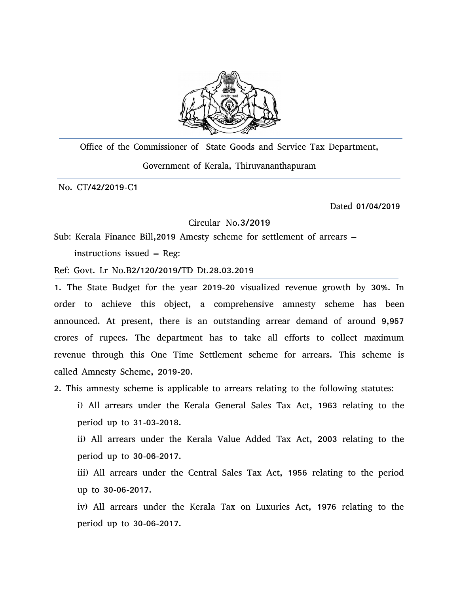

Office of the Commissioner of State Goods and Service Tax Department, Government of Kerala, Thiruvananthapuram

No. CT/42/2019-C1

Dated 01/04/2019

Circular No.3/2019

Sub: Kerala Finance Bill,2019 Amesty scheme for settlement of arrears – instructions issued – Reg:

Ref: Govt. Lr No.B2/120/2019/TD Dt.28.03.2019

1. The State Budget for the year 2019-20 visualized revenue growth by 30%. In order to achieve this object, a comprehensive amnesty scheme has been announced. At present, there is an outstanding arrear demand of around 9,957 crores of rupees. The department has to take all efforts to collect maximum revenue through this One Time Settlement scheme for arrears. This scheme is called Amnesty Scheme, 2019-20.

2. This amnesty scheme is applicable to arrears relating to the following statutes:

i) All arrears under the Kerala General Sales Tax Act, 1963 relating to the period up to 31-03-2018.

ii) All arrears under the Kerala Value Added Tax Act, 2003 relating to the period up to 30-06-2017.

iii) All arrears under the Central Sales Tax Act, 1956 relating to the period up to 30-06-2017.

iv) All arrears under the Kerala Tax on Luxuries Act, 1976 relating to the period up to 30-06-2017.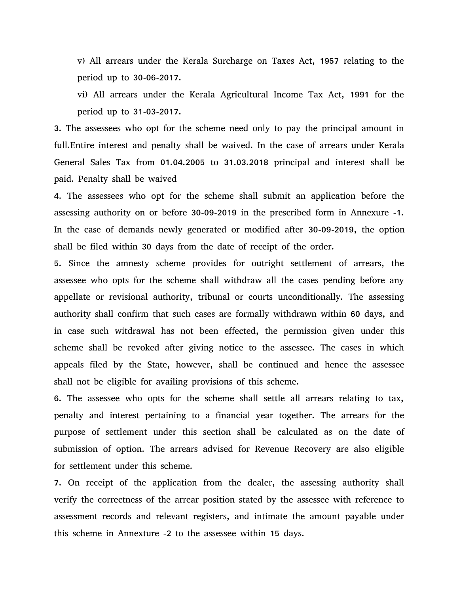v) All arrears under the Kerala Surcharge on Taxes Act, 1957 relating to the period up to 30-06-2017.

vi) All arrears under the Kerala Agricultural Income Tax Act, 1991 for the period up to 31-03-2017.

3. The assessees who opt for the scheme need only to pay the principal amount in full.Entire interest and penalty shall be waived. In the case of arrears under Kerala General Sales Tax from 01.04.2005 to 31.03.2018 principal and interest shall be paid. Penalty shall be waived

4. The assessees who opt for the scheme shall submit an application before the assessing authority on or before 30-09-2019 in the prescribed form in Annexure -1. In the case of demands newly generated or modified after 30-09-2019, the option shall be filed within 30 days from the date of receipt of the order.

5. Since the amnesty scheme provides for outright settlement of arrears, the assessee who opts for the scheme shall withdraw all the cases pending before any appellate or revisional authority, tribunal or courts unconditionally. The assessing authority shall confirm that such cases are formally withdrawn within 60 days, and in case such witdrawal has not been effected, the permission given under this scheme shall be revoked after giving notice to the assessee. The cases in which appeals filed by the State, however, shall be continued and hence the assessee shall not be eligible for availing provisions of this scheme.

6. The assessee who opts for the scheme shall settle all arrears relating to tax, penalty and interest pertaining to a financial year together. The arrears for the purpose of settlement under this section shall be calculated as on the date of submission of option. The arrears advised for Revenue Recovery are also eligible for settlement under this scheme.

7. On receipt of the application from the dealer, the assessing authority shall verify the correctness of the arrear position stated by the assessee with reference to assessment records and relevant registers, and intimate the amount payable under this scheme in Annexture -2 to the assessee within 15 days.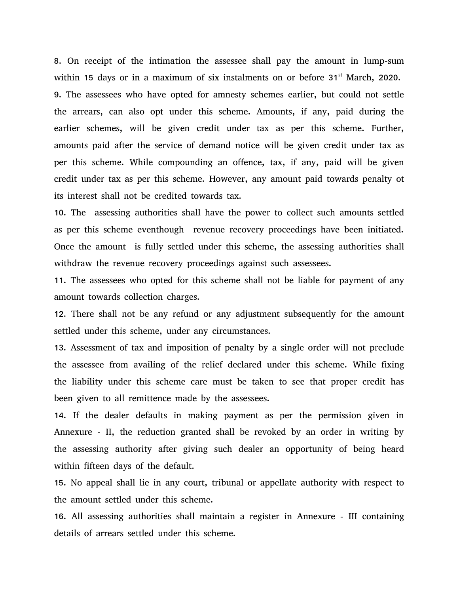8. On receipt of the intimation the assessee shall pay the amount in lump-sum within 15 days or in a maximum of six instalments on or before 31<sup>st</sup> March, 2020. 9. The assessees who have opted for amnesty schemes earlier, but could not settle the arrears, can also opt under this scheme. Amounts, if any, paid during the earlier schemes, will be given credit under tax as per this scheme. Further, amounts paid after the service of demand notice will be given credit under tax as per this scheme. While compounding an offence, tax, if any, paid will be given credit under tax as per this scheme. However, any amount paid towards penalty ot its interest shall not be credited towards tax.

10. The assessing authorities shall have the power to collect such amounts settled as per this scheme eventhough revenue recovery proceedings have been initiated. Once the amount is fully settled under this scheme, the assessing authorities shall withdraw the revenue recovery proceedings against such assessees.

11. The assessees who opted for this scheme shall not be liable for payment of any amount towards collection charges.

12. There shall not be any refund or any adjustment subsequently for the amount settled under this scheme, under any circumstances.

13. Assessment of tax and imposition of penalty by a single order will not preclude the assessee from availing of the relief declared under this scheme. While fixing the liability under this scheme care must be taken to see that proper credit has been given to all remittence made by the assessees.

14. If the dealer defaults in making payment as per the permission given in Annexure - II, the reduction granted shall be revoked by an order in writing by the assessing authority after giving such dealer an opportunity of being heard within fifteen days of the default.

15. No appeal shall lie in any court, tribunal or appellate authority with respect to the amount settled under this scheme.

16. All assessing authorities shall maintain a register in Annexure - III containing details of arrears settled under this scheme.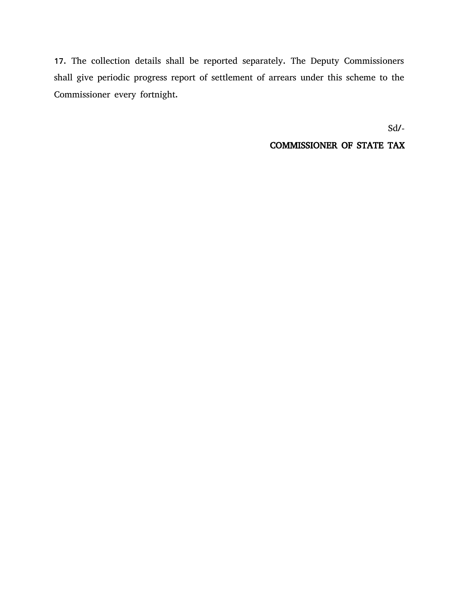17. The collection details shall be reported separately. The Deputy Commissioners shall give periodic progress report of settlement of arrears under this scheme to the Commissioner every fortnight.

Sd/-

## COMMISSIONER OF STATE TAX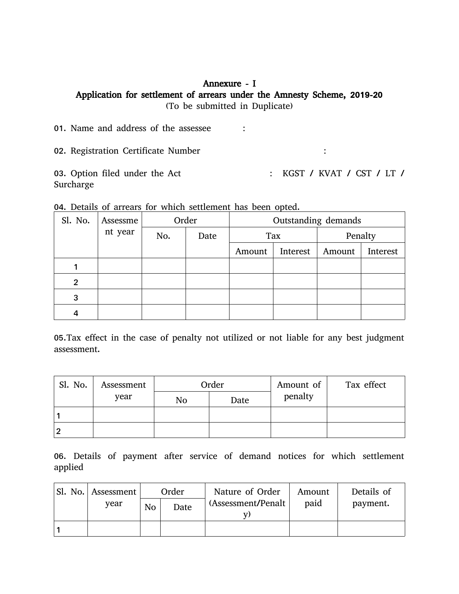## Annexure - I Application for settlement of arrears under the Amnesty Scheme, 2019-20 (To be submitted in Duplicate)

01. Name and address of the assessee : 02. Registration Certificate Number : 03. Option filed under the Act : KGST / KVAT / CST / LT /

Surcharge

| Sl. No.        | Assessme               |  | Order | Outstanding demands |     |         |          |  |  |  |
|----------------|------------------------|--|-------|---------------------|-----|---------|----------|--|--|--|
|                | nt year<br>No.<br>Date |  |       |                     | Tax | Penalty |          |  |  |  |
|                |                        |  |       | Interest<br>Amount  |     | Amount  | Interest |  |  |  |
|                |                        |  |       |                     |     |         |          |  |  |  |
| $\overline{2}$ |                        |  |       |                     |     |         |          |  |  |  |
| 3              |                        |  |       |                     |     |         |          |  |  |  |
| 4              |                        |  |       |                     |     |         |          |  |  |  |

05.Tax effect in the case of penalty not utilized or not liable for any best judgment assessment.

| Sl. No. | Assessment |    | Order | Amount of | Tax effect |  |  |
|---------|------------|----|-------|-----------|------------|--|--|
|         | year       | No | Date  | penalty   |            |  |  |
|         |            |    |       |           |            |  |  |
|         |            |    |       |           |            |  |  |

06. Details of payment after service of demand notices for which settlement applied

| Sl. No. Assessment |                        | Order | Nature of Order     | Amount | Details of |
|--------------------|------------------------|-------|---------------------|--------|------------|
| vear               | N <sub>o</sub><br>Date |       | (Assessment/Penalt) | paid   | payment.   |
|                    |                        |       |                     |        |            |
|                    |                        |       |                     |        |            |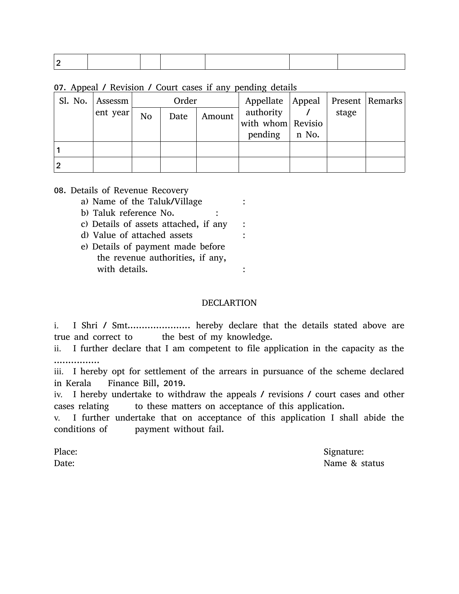07. Appeal / Revision / Court cases if any pending details

|   | Sl. No. Assessm | Order          |      |        | Appellate   Appeal   Present   Remarks |       |       |  |
|---|-----------------|----------------|------|--------|----------------------------------------|-------|-------|--|
|   | ent year        | N <sub>o</sub> | Date | Amount | authority                              |       | stage |  |
|   |                 |                |      |        | with whom Revisio                      |       |       |  |
|   |                 |                |      |        | pending                                | n No. |       |  |
|   |                 |                |      |        |                                        |       |       |  |
| 2 |                 |                |      |        |                                        |       |       |  |

#### 08. Details of Revenue Recovery

- a) Name of the Taluk/Village :
- b) Taluk reference No. :
- c) Details of assets attached, if any :
- d) Value of attached assets :
- e) Details of payment made before the revenue authorities, if any, with details.  $\cdot$  :

#### DECLARTION

i. I Shri / Smt...................... hereby declare that the details stated above are true and correct to the best of my knowledge.

ii. I further declare that I am competent to file application in the capacity as the ................

iii. I hereby opt for settlement of the arrears in pursuance of the scheme declared in Kerala Finance Bill, 2019.

iv. I hereby undertake to withdraw the appeals / revisions / court cases and other cases relating to these matters on acceptance of this application.

v. I further undertake that on acceptance of this application I shall abide the conditions of payment without fail.

Place: Signature: Signature: Signature: Signature: Signature: Signature: Signature: Signature: Signature: Signature: Signature: Signature: Signature: Signature: Signature: Signature: Signature: Signature: Signature: Signat Date: Name & status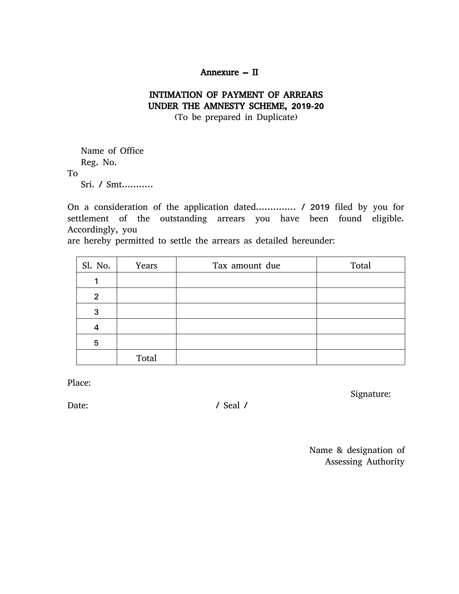### Annexure – II

## INTIMATION OF PAYMENT OF ARREARS UNDER THE AMNESTY SCHEME, 2019-20

(To be prepared in Duplicate)

Name of Office Reg. No. To Sri. / Smt...........

On a consideration of the application dated.............. / 2019 filed by you for settlement of the outstanding arrears you have been found eligible. Accordingly, you

are hereby permitted to settle the arrears as detailed hereunder:

| Sl. No.        | Years | Tax amount due | Total |
|----------------|-------|----------------|-------|
| 1              |       |                |       |
| $\overline{2}$ |       |                |       |
| 3              |       |                |       |
| 4              |       |                |       |
| 5              |       |                |       |
|                | Total |                |       |

Place:

Date: / Seal /

Signature:

Name & designation of Assessing Authority